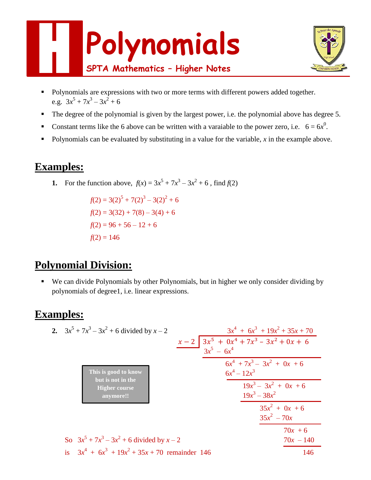



- **Polynomials are expressions with two or more terms with different powers added together.** e.g.  $3x^5 + 7x^3 - 3x^2 + 6$
- The degree of the polynomial is given by the largest power, i.e. the polynomial above has degree 5.
- Constant terms like the 6 above can be written with a varaiable to the power zero, i.e.  $6 = 6x^0$ .
- **Polynomials can be evaluated by substituting in a value for the variable, x in the example above.**

# **Examples:**

**1.** For the function above,  $f(x) = 3x^5 + 7x^3 - 3x^2 + 6$ , find  $f(2)$ 

 $f(2) = 3(2)^5 + 7(2)^3 - 3(2)^2 + 6$  $f(2) = 3(32) + 7(8) - 3(4) + 6$  $f(2) = 96 + 56 - 12 + 6$  $f(2) = 146$ 

# **Polynomial Division:**

 We can divide Polynomials by other Polynomials, but in higher we only consider dividing by polynomials of degree1, i.e. linear expressions.

# **Examples:**

|  | 2. $3x^5 + 7x^3 - 3x^2 + 6$ divided by $x - 2$                                 |       |                                                       | $3x^4 + 6x^3 + 19x^2 + 35x + 70$  |
|--|--------------------------------------------------------------------------------|-------|-------------------------------------------------------|-----------------------------------|
|  |                                                                                | $x-2$ | $3x^5 + 0x^4 + 7x^3 - 3x^2 + 0x + 6$<br>$3x^5 - 6x^4$ |                                   |
|  | This is good to know<br>but is not in the<br><b>Higher course</b><br>anymore!! |       | $6x^4 + 7x^3 - 3x^2 + 0x + 6$<br>$6x^4 - 12x^3$       |                                   |
|  |                                                                                |       | $19x^3 - 38x^2$                                       | $19x^3 - 3x^2 + 0x + 6$           |
|  |                                                                                |       |                                                       | $35x^2 + 0x + 6$<br>$35x^2 - 70x$ |
|  | So $3x^5 + 7x^3 - 3x^2 + 6$ divided by $x - 2$                                 |       |                                                       | $70x + 6$<br>$70x - 140$          |
|  | is $3x^4 + 6x^3 + 19x^2 + 35x + 70$ remainder 146                              |       |                                                       | 146                               |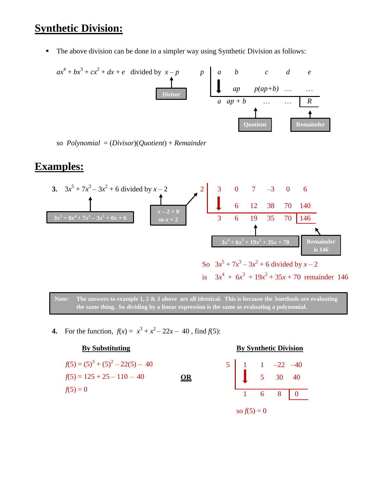## **Synthetic Division:**

■ The above division can be done in a simpler way using Synthetic Division as follows:

*ax* 4 + *bx* 3 + *cx* 2 + *dx* + *e* divided by *x* – *p p a b c d e ap p(ap+b)* … … *a ap + b* … … *R Divisor* **Quotient Remainder** 

so *Polynomial* = (*Divisor*)(*Quotient*) + *Remainder*

#### **Examples:**





**4.** For the function,  $f(x) = x^3 + x^2 - 22x - 40$ , find  $f(5)$ :

$$
f(5) = (5)3 + (5)2 - 22(5) - 40
$$
  
f(5) = 125 + 25 - 110 - 40  
f(5) = 0

#### **By Substituting By Synthetic Division**

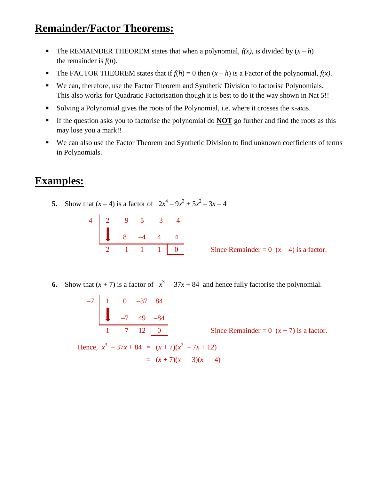# **Remainder/Factor Theorems:**

- The REMAINDER THEOREM states that when a polynomial,  $f(x)$ , is divided by  $(x h)$ the remainder is *f*(*h*).
- The FACTOR THEOREM states that if  $f(h) = 0$  then  $(x h)$  is a Factor of the polynomial,  $f(x)$ .
- We can, therefore, use the Factor Theorem and Synthetic Division to factorise Polynomials. This also works for Quadratic Factorisation though it is best to do it the way shown in Nat 5!!
- Solving a Polynomial gives the roots of the Polynomial, i.e. where it crosses the x-axis.
- If the question asks you to factorise the polynomial do **NOT** go further and find the roots as this may lose you a mark!!
- We can also use the Factor Theorem and Synthetic Division to find unknown coefficients of terms in Polynomials.

#### **Examples:**

**5.** Show that  $(x-4)$  is a factor of  $2x^4 - 9x^3 + 5x^2 - 3x - 4$ 

|  |  | $4 \begin{bmatrix} 2 & -9 & 5 & -3 & -4 \\ & 8 & -4 & 4 & 4 \end{bmatrix}$ |
|--|--|----------------------------------------------------------------------------|
|  |  | $2 -1$ 1 1 0                                                               |

Since Remainder = 0  $(x-4)$  is a factor.

**6.** Show that  $(x + 7)$  is a factor of  $x^3 - 37x + 84$  and hence fully factorise the polynomial.

$$
\begin{array}{c|cccc}\n-7 & 1 & 0 & -37 & 84 \\
& & -7 & 49 & -84 \\
\hline\n& 1 & -7 & 12 & 0\n\end{array}
$$

Since Remainder =  $0(x + 7)$  is a factor.

Hence,  $x^3 - 37x + 84 = (x + 7)(x^2 - 7x + 12)$  $=(x+7)(x-3)(x-4)$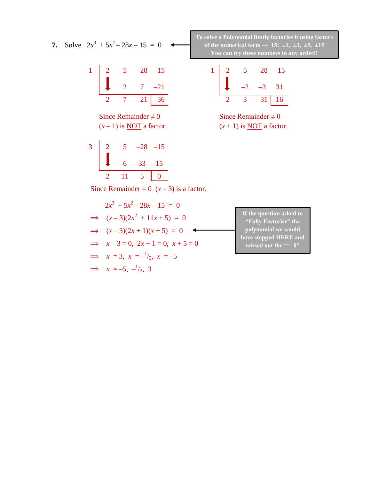$1 \mid 2 \quad 5 \quad -28 \quad -15 \quad -1 \mid 2 \quad 5 \quad -28 \quad -15$ 

**7.** Solve  $2x^3 + 5x^2 - 28x - 15 = 0$ 

Since Remainder  $\neq 0$  Since Remainder  $\neq 0$  $(x-1)$  is <u>NOT</u> a factor.  $(x+1)$  is <u>NOT</u> a factor.

| 3 |    | $-28 -15$ |    |
|---|----|-----------|----|
|   | 6  | 33        | 15 |
|   | 11 |           |    |

**To solve a Polynomial firstly factorise it using factors**  of the numerical term  $\rightarrow$  15:  $\pm$ 1,  $\pm$ 3,  $\pm$ 5,  $\pm$ 15 **You can try these numbers in any order!!**

2 7 –21 –2 –3 31 2 7 –21 –36 2 3 –31 16

Since Remainder =  $0(x-3)$  is a factor.

$$
2x3 + 5x2 - 28x - 15 = 0
$$
  
\n
$$
\implies (x-3)(2x2 + 11x + 5) = 0
$$
  
\n
$$
\implies (x-3)(2x+1)(x+5) = 0
$$
  
\n
$$
\implies x-3 = 0, 2x+1 = 0, x+5 = 0
$$
  
\n
$$
\implies x = 3, x = -\frac{1}{2}, x = -5
$$
  
\n
$$
\implies x = -5, -\frac{1}{2}, 3
$$

**If the question asked to "Fully Factorise" the polynomial we would have stopped HERE and missed out the "= 0"**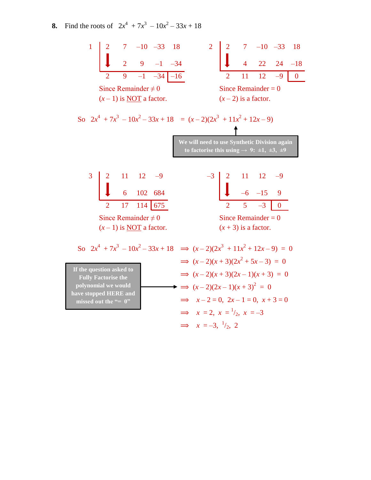**8.** Find the roots of  $2x^4 + 7x^3 - 10x^2 - 33x + 18$ 

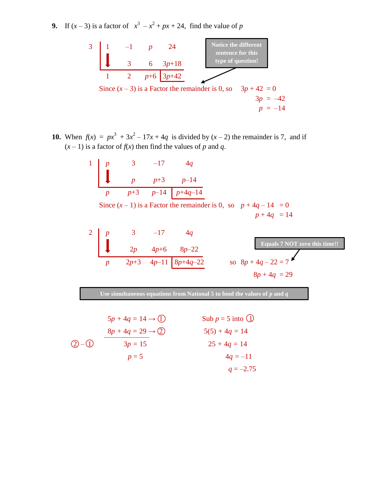**9.** If  $(x - 3)$  is a factor of  $x^3 - x^2 + px + 24$ , find the value of *p* 



**10.** When  $f(x) = px^3 + 3x^2 - 17x + 4q$  is divided by  $(x - 2)$  the remainder is 7, and if  $(x - 1)$  is a factor of  $f(x)$  then find the values of *p* and *q*.

1  
\n
$$
p
$$
 3 -17 4q  
\n $p$  p+3 p-14  
\n $p$  p+3 p-14  
\nSince  $(x-1)$  is a Factor the remainder is 0, so  $p + 4q - 14 = 0$   
\n $p + 4q = 14$ 

2 
$$
p
$$
 3 -17 4q  
\n2p 4p+6 8p-22  
\n $p$  2p+3 4p-11 8p+4q-22  
\n8p+4q-22 = 7  
\n8p+4q = 29

**Use simultaneous equations from National 5 to fond the values of** *p* **and** *q*

$$
5p + 4q = 14 \rightarrow \textcircled{1}
$$
\n
$$
8p + 4q = 29 \rightarrow \textcircled{2}
$$
\n
$$
3p = 15
$$
\n
$$
8p + 4q = 29 \rightarrow \textcircled{2}
$$
\n
$$
5(5) + 4q = 14
$$
\n
$$
25 + 4q = 14
$$
\n
$$
4q = -11
$$
\n
$$
q = -2.75
$$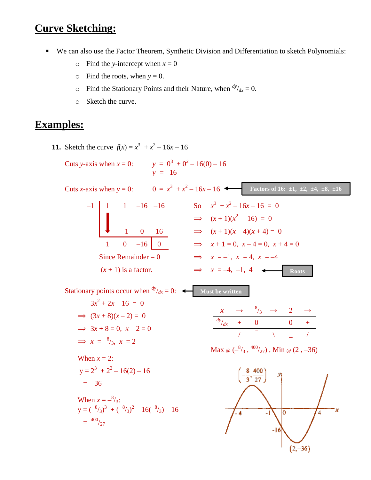## **Curve Sketching:**

- We can also use the Factor Theorem, Synthetic Division and Differentiation to sketch Polynomials:
	- $\circ$  Find the *y*-intercept when  $x = 0$
	- $\circ$  Find the roots, when  $y = 0$ .
	- $\circ$  Find the Stationary Points and their Nature, when  $\frac{dy}{dx} = 0$ .
	- o Sketch the curve.

#### **Examples:**

**11.** Sketch the curve  $f(x) = x^3 + x^2 - 16x - 16$ 

Cuts y-axis when 
$$
x = 0
$$
:  
\n $y = 0^3 + 0^2 - 16(0) - 16$   
\n $y = -16$ 

**Cuts** *x***-axis when**  $y = 0$ **:**  $0 = x^3 + x^2 - 16x - 16$  **Tactors of 16: ±1, ±2, ±4, ±8, ±16** –1 1 1 –16 –16 So *x*  $x^3 + x^2 - 16x - 16 = 0$  $\implies$   $(x+1)(x^2-16) = 0$  $-1$  0 16  $\implies$   $(x+1)(x-4)(x+4) = 0$ 1 0 –16 0  $\implies x+1=0, x-4=0, x+4=0$ Since Remainder = 0  $\implies x = -1, x = 4, x = -4$  $(x+1)$  is a factor.  $\implies x = -4, -1, 4$ **Roots**

**Stationary points occur when**  $\frac{dy}{dx} = 0$ :  $\leftarrow$  Must be written

$$
3x2 + 2x - 16 = 0
$$
  
\n
$$
\implies (3x + 8)(x - 2) = 0
$$
  
\n
$$
\implies 3x + 8 = 0, \ x - 2 = 0
$$
  
\n
$$
\implies x = -\frac{8}{3}, \ x = 2
$$

When  $x = 2$ :  $y = 2^3 + 2^2 - 16(2) - 16$  $= -36$ 

When 
$$
x = -\frac{8}{3}
$$
:  
\n $y = (-\frac{8}{3})^3 + (-\frac{8}{3})^2 - 16(-\frac{8}{3}) - 16$   
\n $= \frac{400}{27}$ 



Max @  $(-\frac{8}{3}, \frac{400}{27})$  , Min @  $(2, -36)$ 

 $x \rightarrow -\frac{8}{3} \rightarrow 2 \rightarrow$ 

 $\sqrt{2}$  /  $\sqrt{2}$  /  $\sqrt{2}$ 

 $\frac{dy}{dx}$  + 0 – 0 +